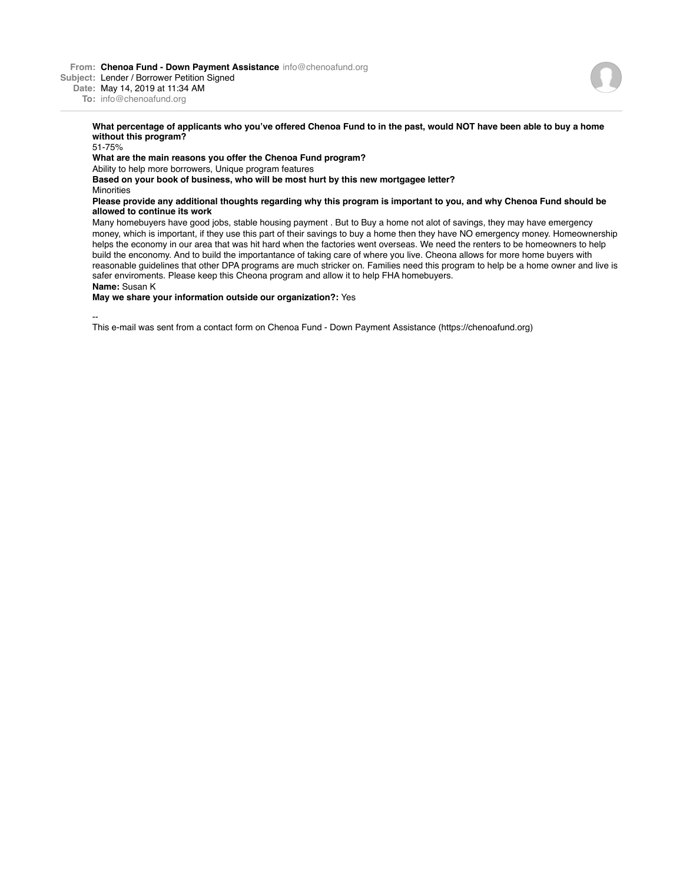**From: Chenoa Fund - Down Payment Assistance** info@chenoafund.org

**Subject:** Lender / Borrower Petition Signed

**Date:** May 14, 2019 at 11:34 AM

**To:** info@chenoafund.org

## **What percentage of applicants who you've offered Chenoa Fund to in the past, would NOT have been able to buy a home without this program?**

51-75%

## **What are the main reasons you offer the Chenoa Fund program?**

Ability to help more borrowers, Unique program features

**Based on your book of business, who will be most hurt by this new mortgagee letter? Minorities** 

## **Please provide any additional thoughts regarding why this program is important to you, and why Chenoa Fund should be allowed to continue its work**

Many homebuyers have good jobs, stable housing payment . But to Buy a home not alot of savings, they may have emergency money, which is important, if they use this part of their savings to buy a home then they have NO emergency money. Homeownership helps the economy in our area that was hit hard when the factories went overseas. We need the renters to be homeowners to help build the enconomy. And to build the importantance of taking care of where you live. Cheona allows for more home buyers with reasonable guidelines that other DPA programs are much stricker on. Families need this program to help be a home owner and live is safer enviroments. Please keep this Cheona program and allow it to help FHA homebuyers. **Name:** Susan K

## **May we share your information outside our organization?:** Yes

--

This e-mail was sent from a contact form on Chenoa Fund - Down Payment Assistance (https://chenoafund.org)